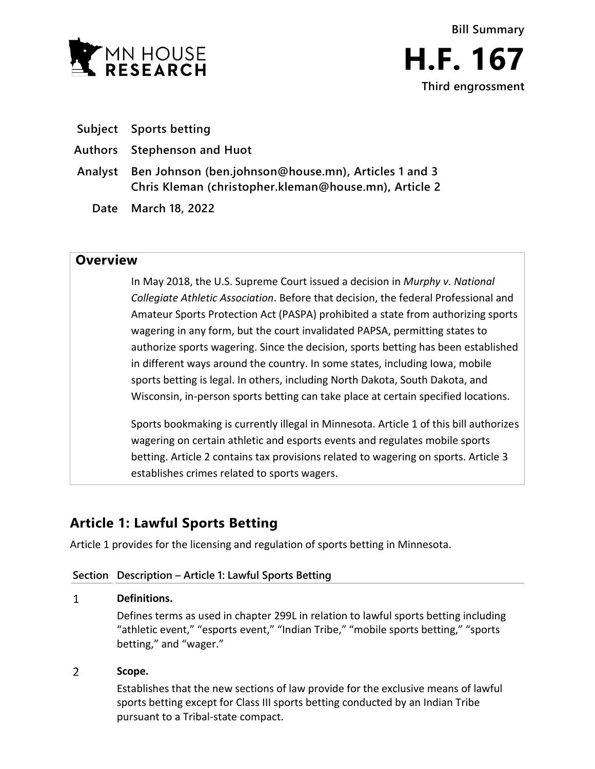

- **Subject Sports betting**
- **Authors Stephenson and Huot**
- **Analyst Ben Johnson (ben.johnson@house.mn), Articles 1 and 3 Chris Kleman (christopher.kleman@house.mn), Article 2**
	- **Date March 18, 2022**

## **Overview**

In May 2018, the U.S. Supreme Court issued a decision in *Murphy v. National Collegiate Athletic Association*. Before that decision, the federal Professional and Amateur Sports Protection Act (PASPA) prohibited a state from authorizing sports wagering in any form, but the court invalidated PAPSA, permitting states to authorize sports wagering. Since the decision, sports betting has been established in different ways around the country. In some states, including Iowa, mobile sports betting is legal. In others, including North Dakota, South Dakota, and Wisconsin, in-person sports betting can take place at certain specified locations.

Sports bookmaking is currently illegal in Minnesota. Article 1 of this bill authorizes wagering on certain athletic and esports events and regulates mobile sports betting. Article 2 contains tax provisions related to wagering on sports. Article 3 establishes crimes related to sports wagers.

# **Article 1: Lawful Sports Betting**

Article 1 provides for the licensing and regulation of sports betting in Minnesota.

## **Section Description – Article 1: Lawful Sports Betting**

### $\mathbf{1}$ **Definitions.**

Defines terms as used in chapter 299L in relation to lawful sports betting including "athletic event," "esports event," "Indian Tribe," "mobile sports betting," "sports betting," and "wager."

### $\overline{2}$ **Scope.**

Establishes that the new sections of law provide for the exclusive means of lawful sports betting except for Class III sports betting conducted by an Indian Tribe pursuant to a Tribal-state compact.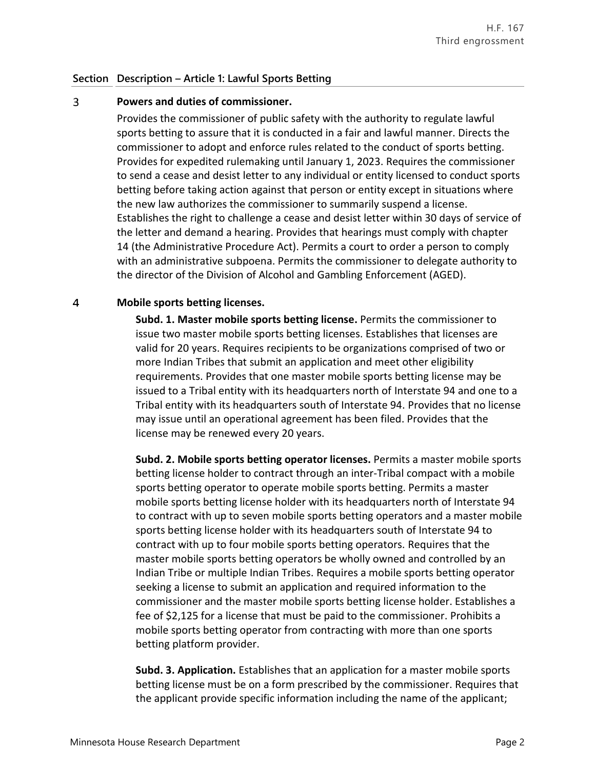### 3 **Powers and duties of commissioner.**

Provides the commissioner of public safety with the authority to regulate lawful sports betting to assure that it is conducted in a fair and lawful manner. Directs the commissioner to adopt and enforce rules related to the conduct of sports betting. Provides for expedited rulemaking until January 1, 2023. Requires the commissioner to send a cease and desist letter to any individual or entity licensed to conduct sports betting before taking action against that person or entity except in situations where the new law authorizes the commissioner to summarily suspend a license. Establishes the right to challenge a cease and desist letter within 30 days of service of the letter and demand a hearing. Provides that hearings must comply with chapter 14 (the Administrative Procedure Act). Permits a court to order a person to comply with an administrative subpoena. Permits the commissioner to delegate authority to the director of the Division of Alcohol and Gambling Enforcement (AGED).

### $\overline{4}$ **Mobile sports betting licenses.**

**Subd. 1. Master mobile sports betting license.** Permits the commissioner to issue two master mobile sports betting licenses. Establishes that licenses are valid for 20 years. Requires recipients to be organizations comprised of two or more Indian Tribes that submit an application and meet other eligibility requirements. Provides that one master mobile sports betting license may be issued to a Tribal entity with its headquarters north of Interstate 94 and one to a Tribal entity with its headquarters south of Interstate 94. Provides that no license may issue until an operational agreement has been filed. Provides that the license may be renewed every 20 years.

**Subd. 2. Mobile sports betting operator licenses.** Permits a master mobile sports betting license holder to contract through an inter-Tribal compact with a mobile sports betting operator to operate mobile sports betting. Permits a master mobile sports betting license holder with its headquarters north of Interstate 94 to contract with up to seven mobile sports betting operators and a master mobile sports betting license holder with its headquarters south of Interstate 94 to contract with up to four mobile sports betting operators. Requires that the master mobile sports betting operators be wholly owned and controlled by an Indian Tribe or multiple Indian Tribes. Requires a mobile sports betting operator seeking a license to submit an application and required information to the commissioner and the master mobile sports betting license holder. Establishes a fee of \$2,125 for a license that must be paid to the commissioner. Prohibits a mobile sports betting operator from contracting with more than one sports betting platform provider.

**Subd. 3. Application.** Establishes that an application for a master mobile sports betting license must be on a form prescribed by the commissioner. Requires that the applicant provide specific information including the name of the applicant;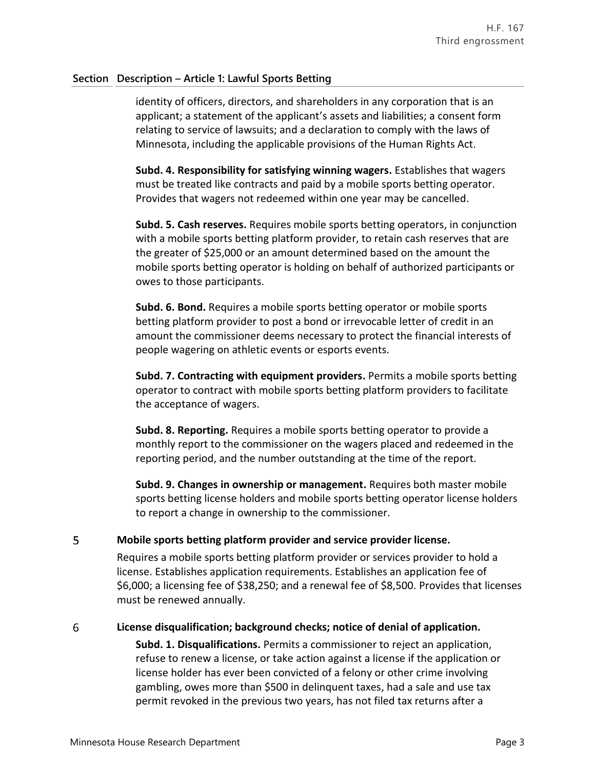identity of officers, directors, and shareholders in any corporation that is an applicant; a statement of the applicant's assets and liabilities; a consent form relating to service of lawsuits; and a declaration to comply with the laws of Minnesota, including the applicable provisions of the Human Rights Act.

**Subd. 4. Responsibility for satisfying winning wagers.** Establishes that wagers must be treated like contracts and paid by a mobile sports betting operator. Provides that wagers not redeemed within one year may be cancelled.

**Subd. 5. Cash reserves.** Requires mobile sports betting operators, in conjunction with a mobile sports betting platform provider, to retain cash reserves that are the greater of \$25,000 or an amount determined based on the amount the mobile sports betting operator is holding on behalf of authorized participants or owes to those participants.

**Subd. 6. Bond.** Requires a mobile sports betting operator or mobile sports betting platform provider to post a bond or irrevocable letter of credit in an amount the commissioner deems necessary to protect the financial interests of people wagering on athletic events or esports events.

**Subd. 7. Contracting with equipment providers.** Permits a mobile sports betting operator to contract with mobile sports betting platform providers to facilitate the acceptance of wagers.

**Subd. 8. Reporting.** Requires a mobile sports betting operator to provide a monthly report to the commissioner on the wagers placed and redeemed in the reporting period, and the number outstanding at the time of the report.

**Subd. 9. Changes in ownership or management.** Requires both master mobile sports betting license holders and mobile sports betting operator license holders to report a change in ownership to the commissioner.

### 5 **Mobile sports betting platform provider and service provider license.**

Requires a mobile sports betting platform provider or services provider to hold a license. Establishes application requirements. Establishes an application fee of \$6,000; a licensing fee of \$38,250; and a renewal fee of \$8,500. Provides that licenses must be renewed annually.

### 6 **License disqualification; background checks; notice of denial of application.**

**Subd. 1. Disqualifications.** Permits a commissioner to reject an application, refuse to renew a license, or take action against a license if the application or license holder has ever been convicted of a felony or other crime involving gambling, owes more than \$500 in delinquent taxes, had a sale and use tax permit revoked in the previous two years, has not filed tax returns after a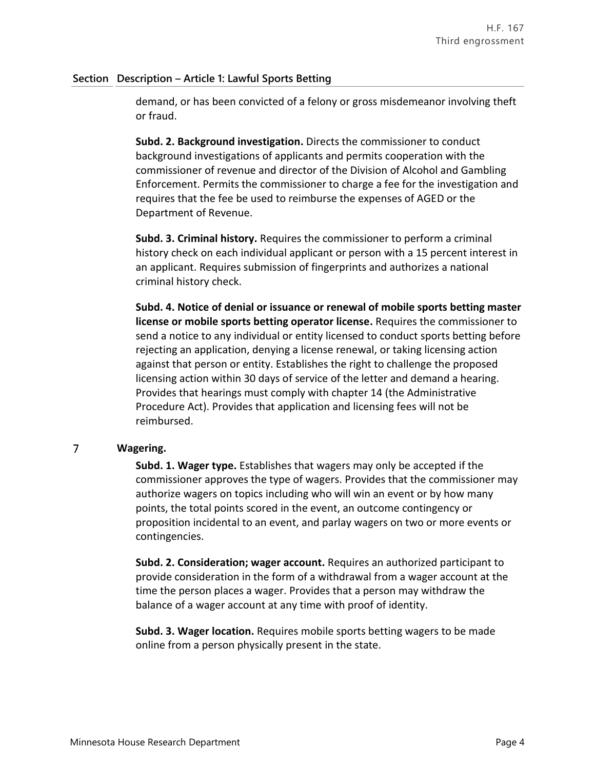demand, or has been convicted of a felony or gross misdemeanor involving theft or fraud.

**Subd. 2. Background investigation.** Directs the commissioner to conduct background investigations of applicants and permits cooperation with the commissioner of revenue and director of the Division of Alcohol and Gambling Enforcement. Permits the commissioner to charge a fee for the investigation and requires that the fee be used to reimburse the expenses of AGED or the Department of Revenue.

**Subd. 3. Criminal history.** Requires the commissioner to perform a criminal history check on each individual applicant or person with a 15 percent interest in an applicant. Requires submission of fingerprints and authorizes a national criminal history check.

**Subd. 4. Notice of denial or issuance or renewal of mobile sports betting master license or mobile sports betting operator license.** Requires the commissioner to send a notice to any individual or entity licensed to conduct sports betting before rejecting an application, denying a license renewal, or taking licensing action against that person or entity. Establishes the right to challenge the proposed licensing action within 30 days of service of the letter and demand a hearing. Provides that hearings must comply with chapter 14 (the Administrative Procedure Act). Provides that application and licensing fees will not be reimbursed.

### $\overline{7}$ **Wagering.**

**Subd. 1. Wager type.** Establishes that wagers may only be accepted if the commissioner approves the type of wagers. Provides that the commissioner may authorize wagers on topics including who will win an event or by how many points, the total points scored in the event, an outcome contingency or proposition incidental to an event, and parlay wagers on two or more events or contingencies.

**Subd. 2. Consideration; wager account.** Requires an authorized participant to provide consideration in the form of a withdrawal from a wager account at the time the person places a wager. Provides that a person may withdraw the balance of a wager account at any time with proof of identity.

**Subd. 3. Wager location.** Requires mobile sports betting wagers to be made online from a person physically present in the state.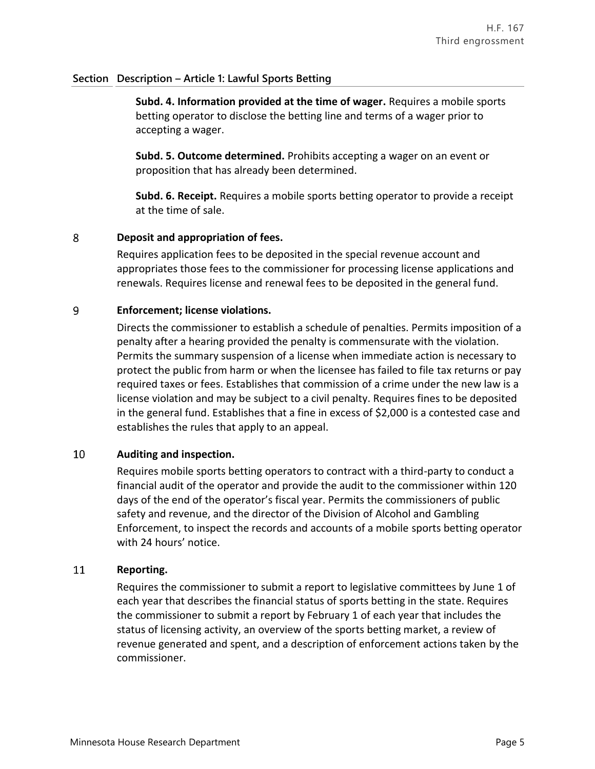**Subd. 4. Information provided at the time of wager.** Requires a mobile sports betting operator to disclose the betting line and terms of a wager prior to accepting a wager.

**Subd. 5. Outcome determined.** Prohibits accepting a wager on an event or proposition that has already been determined.

**Subd. 6. Receipt.** Requires a mobile sports betting operator to provide a receipt at the time of sale.

### 8 **Deposit and appropriation of fees.**

Requires application fees to be deposited in the special revenue account and appropriates those fees to the commissioner for processing license applications and renewals. Requires license and renewal fees to be deposited in the general fund.

### 9 **Enforcement; license violations.**

Directs the commissioner to establish a schedule of penalties. Permits imposition of a penalty after a hearing provided the penalty is commensurate with the violation. Permits the summary suspension of a license when immediate action is necessary to protect the public from harm or when the licensee has failed to file tax returns or pay required taxes or fees. Establishes that commission of a crime under the new law is a license violation and may be subject to a civil penalty. Requires fines to be deposited in the general fund. Establishes that a fine in excess of \$2,000 is a contested case and establishes the rules that apply to an appeal.

### 10 **Auditing and inspection.**

Requires mobile sports betting operators to contract with a third-party to conduct a financial audit of the operator and provide the audit to the commissioner within 120 days of the end of the operator's fiscal year. Permits the commissioners of public safety and revenue, and the director of the Division of Alcohol and Gambling Enforcement, to inspect the records and accounts of a mobile sports betting operator with 24 hours' notice.

### 11 **Reporting.**

Requires the commissioner to submit a report to legislative committees by June 1 of each year that describes the financial status of sports betting in the state. Requires the commissioner to submit a report by February 1 of each year that includes the status of licensing activity, an overview of the sports betting market, a review of revenue generated and spent, and a description of enforcement actions taken by the commissioner.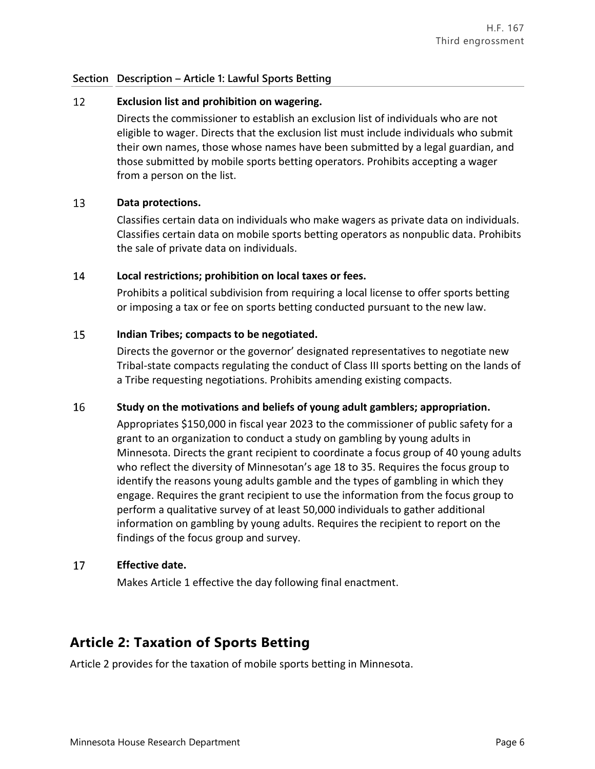### 12 **Exclusion list and prohibition on wagering.**

Directs the commissioner to establish an exclusion list of individuals who are not eligible to wager. Directs that the exclusion list must include individuals who submit their own names, those whose names have been submitted by a legal guardian, and those submitted by mobile sports betting operators. Prohibits accepting a wager from a person on the list.

### 13 **Data protections.**

Classifies certain data on individuals who make wagers as private data on individuals. Classifies certain data on mobile sports betting operators as nonpublic data. Prohibits the sale of private data on individuals.

### 14 **Local restrictions; prohibition on local taxes or fees.**

Prohibits a political subdivision from requiring a local license to offer sports betting or imposing a tax or fee on sports betting conducted pursuant to the new law.

### 15 **Indian Tribes; compacts to be negotiated.**

Directs the governor or the governor' designated representatives to negotiate new Tribal-state compacts regulating the conduct of Class III sports betting on the lands of a Tribe requesting negotiations. Prohibits amending existing compacts.

### 16 **Study on the motivations and beliefs of young adult gamblers; appropriation.**

Appropriates \$150,000 in fiscal year 2023 to the commissioner of public safety for a grant to an organization to conduct a study on gambling by young adults in Minnesota. Directs the grant recipient to coordinate a focus group of 40 young adults who reflect the diversity of Minnesotan's age 18 to 35. Requires the focus group to identify the reasons young adults gamble and the types of gambling in which they engage. Requires the grant recipient to use the information from the focus group to perform a qualitative survey of at least 50,000 individuals to gather additional information on gambling by young adults. Requires the recipient to report on the findings of the focus group and survey.

### **Effective date.** 17

Makes Article 1 effective the day following final enactment.

## **Article 2: Taxation of Sports Betting**

Article 2 provides for the taxation of mobile sports betting in Minnesota.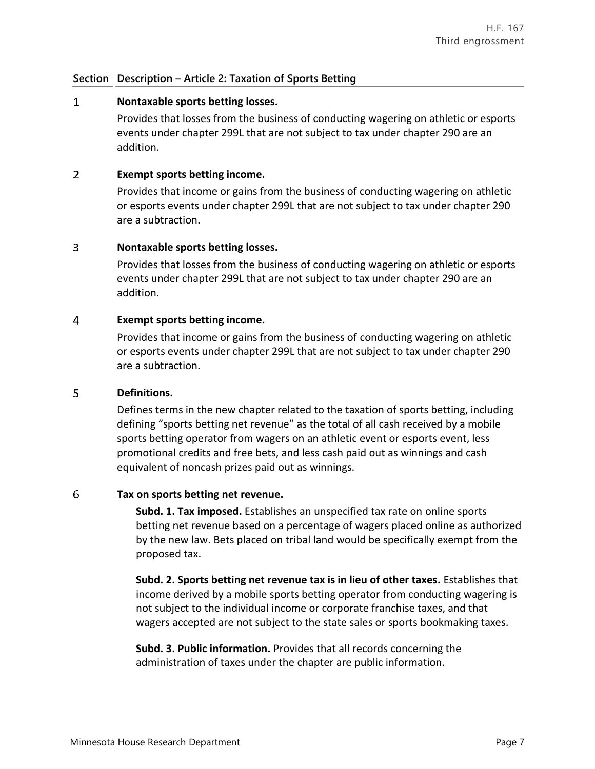## **Section Description – Article 2: Taxation of Sports Betting**

### $\mathbf{1}$ **Nontaxable sports betting losses.**

Provides that losses from the business of conducting wagering on athletic or esports events under chapter 299L that are not subject to tax under chapter 290 are an addition.

### $\overline{2}$ **Exempt sports betting income.**

Provides that income or gains from the business of conducting wagering on athletic or esports events under chapter 299L that are not subject to tax under chapter 290 are a subtraction.

### $\overline{3}$ **Nontaxable sports betting losses.**

Provides that losses from the business of conducting wagering on athletic or esports events under chapter 299L that are not subject to tax under chapter 290 are an addition.

### $\overline{4}$ **Exempt sports betting income.**

Provides that income or gains from the business of conducting wagering on athletic or esports events under chapter 299L that are not subject to tax under chapter 290 are a subtraction.

### 5 **Definitions.**

Defines terms in the new chapter related to the taxation of sports betting, including defining "sports betting net revenue" as the total of all cash received by a mobile sports betting operator from wagers on an athletic event or esports event, less promotional credits and free bets, and less cash paid out as winnings and cash equivalent of noncash prizes paid out as winnings.

### 6 **Tax on sports betting net revenue.**

**Subd. 1. Tax imposed.** Establishes an unspecified tax rate on online sports betting net revenue based on a percentage of wagers placed online as authorized by the new law. Bets placed on tribal land would be specifically exempt from the proposed tax.

**Subd. 2. Sports betting net revenue tax is in lieu of other taxes.** Establishes that income derived by a mobile sports betting operator from conducting wagering is not subject to the individual income or corporate franchise taxes, and that wagers accepted are not subject to the state sales or sports bookmaking taxes.

**Subd. 3. Public information.** Provides that all records concerning the administration of taxes under the chapter are public information.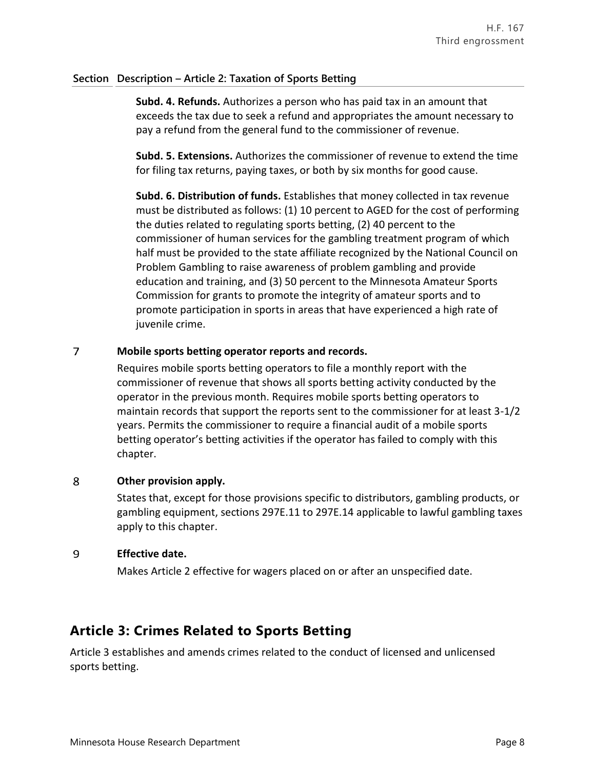## **Section Description – Article 2: Taxation of Sports Betting**

**Subd. 4. Refunds.** Authorizes a person who has paid tax in an amount that exceeds the tax due to seek a refund and appropriates the amount necessary to pay a refund from the general fund to the commissioner of revenue.

**Subd. 5. Extensions.** Authorizes the commissioner of revenue to extend the time for filing tax returns, paying taxes, or both by six months for good cause.

**Subd. 6. Distribution of funds.** Establishes that money collected in tax revenue must be distributed as follows: (1) 10 percent to AGED for the cost of performing the duties related to regulating sports betting, (2) 40 percent to the commissioner of human services for the gambling treatment program of which half must be provided to the state affiliate recognized by the National Council on Problem Gambling to raise awareness of problem gambling and provide education and training, and (3) 50 percent to the Minnesota Amateur Sports Commission for grants to promote the integrity of amateur sports and to promote participation in sports in areas that have experienced a high rate of juvenile crime.

### $\overline{7}$ **Mobile sports betting operator reports and records.**

Requires mobile sports betting operators to file a monthly report with the commissioner of revenue that shows all sports betting activity conducted by the operator in the previous month. Requires mobile sports betting operators to maintain records that support the reports sent to the commissioner for at least 3-1/2 years. Permits the commissioner to require a financial audit of a mobile sports betting operator's betting activities if the operator has failed to comply with this chapter.

### 8 **Other provision apply.**

States that, except for those provisions specific to distributors, gambling products, or gambling equipment, sections 297E.11 to 297E.14 applicable to lawful gambling taxes apply to this chapter.

### 9 **Effective date.**

Makes Article 2 effective for wagers placed on or after an unspecified date.

# **Article 3: Crimes Related to Sports Betting**

Article 3 establishes and amends crimes related to the conduct of licensed and unlicensed sports betting.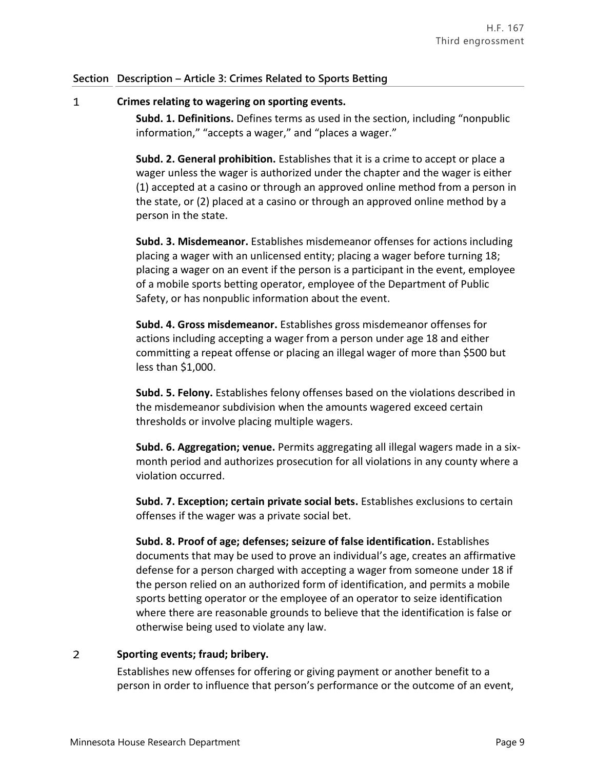## **Section Description – Article 3: Crimes Related to Sports Betting**

### $\mathbf{1}$ **Crimes relating to wagering on sporting events.**

**Subd. 1. Definitions.** Defines terms as used in the section, including "nonpublic information," "accepts a wager," and "places a wager."

**Subd. 2. General prohibition.** Establishes that it is a crime to accept or place a wager unless the wager is authorized under the chapter and the wager is either (1) accepted at a casino or through an approved online method from a person in the state, or (2) placed at a casino or through an approved online method by a person in the state.

**Subd. 3. Misdemeanor.** Establishes misdemeanor offenses for actions including placing a wager with an unlicensed entity; placing a wager before turning 18; placing a wager on an event if the person is a participant in the event, employee of a mobile sports betting operator, employee of the Department of Public Safety, or has nonpublic information about the event.

**Subd. 4. Gross misdemeanor.** Establishes gross misdemeanor offenses for actions including accepting a wager from a person under age 18 and either committing a repeat offense or placing an illegal wager of more than \$500 but less than \$1,000.

**Subd. 5. Felony.** Establishes felony offenses based on the violations described in the misdemeanor subdivision when the amounts wagered exceed certain thresholds or involve placing multiple wagers.

**Subd. 6. Aggregation; venue.** Permits aggregating all illegal wagers made in a sixmonth period and authorizes prosecution for all violations in any county where a violation occurred.

**Subd. 7. Exception; certain private social bets.** Establishes exclusions to certain offenses if the wager was a private social bet.

**Subd. 8. Proof of age; defenses; seizure of false identification.** Establishes documents that may be used to prove an individual's age, creates an affirmative defense for a person charged with accepting a wager from someone under 18 if the person relied on an authorized form of identification, and permits a mobile sports betting operator or the employee of an operator to seize identification where there are reasonable grounds to believe that the identification is false or otherwise being used to violate any law.

### $\overline{2}$ **Sporting events; fraud; bribery.**

Establishes new offenses for offering or giving payment or another benefit to a person in order to influence that person's performance or the outcome of an event,